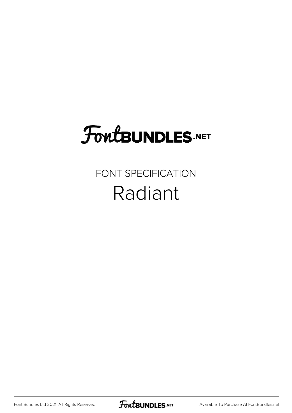## **FoutBUNDLES.NET**

## FONT SPECIFICATION Radiant

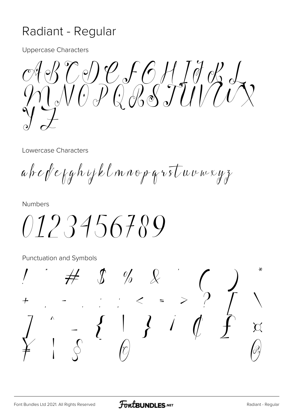## Radiant - Regular

**Uppercase Characters** 

TIP F6HJJR<br>VOPGRSTUVIV

Lowercase Characters

 $a$  b  $c$   $f$   $e$   $g$   $h$   $ij$   $k$   $\ell$   $m$   $n$   $e$   $p$   $q$   $v$   $s$   $\tau$   $w$   $\nu$   $w$   $w$   $y$   $z$ 

**Numbers** 

 $0123456789$ 

Punctuation and Symbols

⊁  $\frac{\%}{\%}$  \left( \cdot \cdot \cdot \cdot \cdot \cdot \cdot \cdot \cdot \cdot \cdot \cdot \cdot \cdot \cdot \cdot \cdot \cdot \cdot \cdot \cdot \cdot \cdot \cdot \cdot \cdot \cdot \cdot \cdot \cdot \cdot \cdot \cdot \cdot  $\mathscr{O}_{\!\!\mathscr{O}}$  $\frac{1}{\delta}$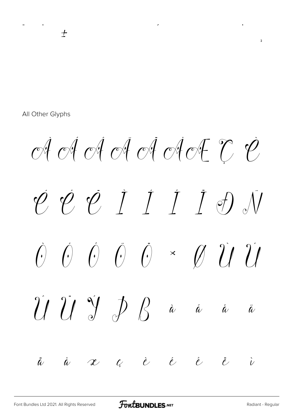All Other Glyphs

 $\pm$ 

 $\vec{c}$  of  $\vec{c}$  of  $\vec{c}$  of  $\vec{c}$  of  $\vec{c}$   $\vec{c}$  $\overline{\varphi} \overline{\varphi} \overline{\varphi} \overline{I} \overline{I} \overline{I} \overline{I} \overline{I}$  $\begin{array}{ccccccccc}\n\hat{C} & \hat{C} & \hat{C} & \hat{C} & \times & \hat{C} & \hat{U} & \hat{U} & \hat{U}\n\end{array}$  $\int \int \int \int$  $\hat{a}$  $\hat{a}$   $\hat{a}$  $\tilde{\ell}$  $\dot{a}$   $\alpha$   $c$   $\dot{e}$   $\dot{e}$   $\dot{e}$   $\ddot{e}$  $\ddot{a}$  $\dot{V}$ 

 $\overline{\phantom{a}}$ 

 $\ddot{\phantom{a}}$ 

 $\overline{\phantom{a}}$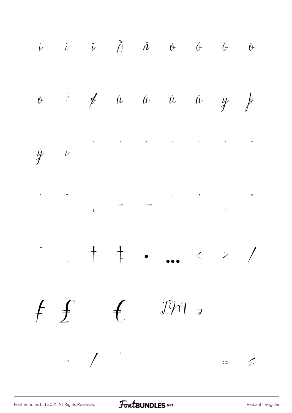$\begin{array}{ccc} \hat{\nu} & \hat{\nu} & \tilde{\nu} & \tilde{\theta} & \tilde{\alpha} & \hat{\theta} & \hat{\theta} & \tilde{\theta} \end{array}$  $\div$  of in in in information is  $\ddot{\theta}$  $\label{eq:2.1} \begin{array}{cccccccccccccc} \mathcal{S}_{\mathcal{S}_{\mathcal{S}}} & \mathcal{S}_{\mathcal{S}_{\mathcal{S}}} & \mathcal{S}_{\mathcal{S}_{\mathcal{S}}} & \mathcal{S}_{\mathcal{S}_{\mathcal{S}}} & \mathcal{S}_{\mathcal{S}_{\mathcal{S}}} & \mathcal{S}_{\mathcal{S}_{\mathcal{S}}} & \mathcal{S}_{\mathcal{S}_{\mathcal{S}}} & \mathcal{S}_{\mathcal{S}_{\mathcal{S}}} & \mathcal{S}_{\mathcal{S}_{\mathcal{S}}} & \mathcal{S}_{\mathcal{S}_{\mathcal{S}}} & \mathcal{S}_{\mathcal{S$  $\ddot{y}$   $v$  $\begin{array}{cccccccccccccc} \bullet & & & \uparrow & & \uparrow & & \bullet & & \bullet & \bullet & & \diamond & \diamond & \diamond & \nearrow & \end{array}$  $J\mathcal{W}$  $f \not f$  $\mathcal{L}$  $-$  /  $\cdot$  $z \leq$